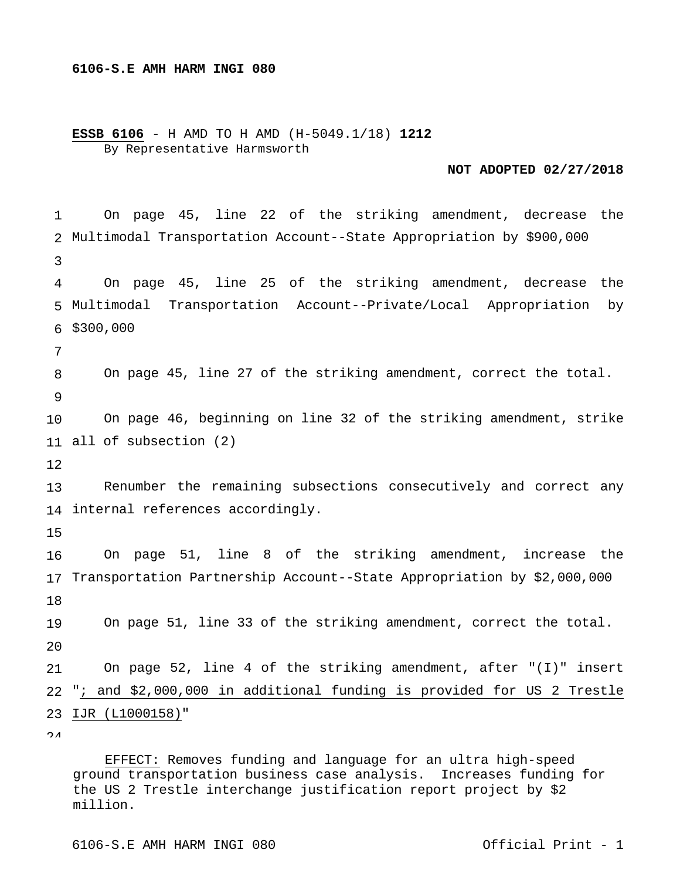## **6106-S.E AMH HARM INGI 080**

**ESSB 6106** - H AMD TO H AMD (H-5049.1/18) **1212** By Representative Harmsworth

## **NOT ADOPTED 02/27/2018**

1 2 Multimodal Transportation Account--State Appropriation by \$900,000 3 4 5 Multimodal Transportation Account--Private/Local Appropriation by 6 \$300,000 7 8 9 10 11 all of subsection (2) 12 13 14 internal references accordingly. 15 16 17 Transportation Partnership Account--State Appropriation by \$2,000,000 18 19  $2.0$ 21 22 23 IJR (L1000158)"  $\Omega$  On page 45, line 22 of the striking amendment, decrease the On page 45, line 25 of the striking amendment, decrease the On page 45, line 27 of the striking amendment, correct the total. On page 46, beginning on line 32 of the striking amendment, strike Renumber the remaining subsections consecutively and correct any On page 51, line 8 of the striking amendment, increase the On page 51, line 33 of the striking amendment, correct the total. On page 52, line 4 of the striking amendment, after "(I)" insert "; and \$2,000,000 in additional funding is provided for US 2 Trestle

 EFFECT: Removes funding and language for an ultra high-speed ground transportation business case analysis. Increases funding for the US 2 Trestle interchange justification report project by \$2 million.